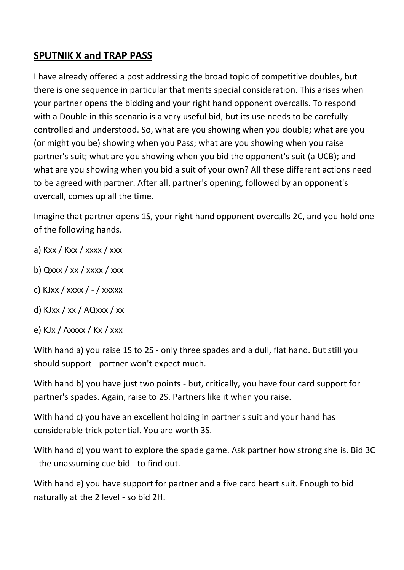## **SPUTNIK X and TRAP PASS**

I have already offered a post addressing the broad topic of competitive doubles, but there is one sequence in particular that merits special consideration. This arises when your partner opens the bidding and your right hand opponent overcalls. To respond with a Double in this scenario is a very useful bid, but its use needs to be carefully controlled and understood. So, what are you showing when you double; what are you (or might you be) showing when you Pass; what are you showing when you raise partner's suit; what are you showing when you bid the opponent's suit (a UCB); and what are you showing when you bid a suit of your own? All these different actions need to be agreed with partner. After all, partner's opening, followed by an opponent's overcall, comes up all the time.

Imagine that partner opens 1S, your right hand opponent overcalls 2C, and you hold one of the following hands.

- a) Kxx / Kxx / xxxx / xxx
- b)  $Qxxx / xx / XXX / XXX$
- c) KJxx / xxxx / / xxxxx
- d) KJxx / xx / AQxxx / xx
- e) KJx / Axxxx / Kx / xxx

With hand a) you raise 1S to 2S - only three spades and a dull, flat hand. But still you should support - partner won't expect much.

With hand b) you have just two points - but, critically, you have four card support for partner's spades. Again, raise to 2S. Partners like it when you raise.

With hand c) you have an excellent holding in partner's suit and your hand has considerable trick potential. You are worth 3S.

With hand d) you want to explore the spade game. Ask partner how strong she is. Bid 3C - the unassuming cue bid - to find out.

With hand e) you have support for partner and a five card heart suit. Enough to bid naturally at the 2 level - so bid 2H.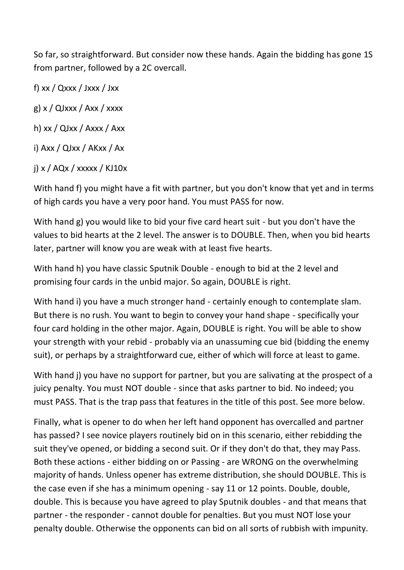So far, so straightforward. But consider now these hands. Again the bidding has gone 1S from partner, followed by a 2C overcall.

f) xx / Qxxx / Jxxx / Jxx

g)  $x / QJxxx / Axx / xxxx$ 

h) xx / QJxx / Axxx / Axx

i) Axx / QJxx / AKxx / Ax

j) x / AQx / xxxxx / KJ10x

With hand f) you might have a fit with partner, but you don't know that yet and in terms of high cards you have a very poor hand. You must PASS for now.

With hand g) you would like to bid your five card heart suit - but you don't have the values to bid hearts at the 2 level. The answer is to DOUBLE. Then, when you bid hearts later, partner will know you are weak with at least five hearts.

With hand h) you have classic Sputnik Double - enough to bid at the 2 level and promising four cards in the unbid major. So again, DOUBLE is right.

With hand i) you have a much stronger hand - certainly enough to contemplate slam. But there is no rush. You want to begin to convey your hand shape - specifically your four card holding in the other major. Again, DOUBLE is right. You will be able to show your strength with your rebid - probably via an unassuming cue bid (bidding the enemy suit), or perhaps by a straightforward cue, either of which will force at least to game.

With hand j) you have no support for partner, but you are salivating at the prospect of a juicy penalty. You must NOT double - since that asks partner to bid. No indeed; you must PASS. That is the trap pass that features in the title of this post. See more below.

Finally, what is opener to do when her left hand opponent has overcalled and partner has passed? I see novice players routinely bid on in this scenario, either rebidding the suit they've opened, or bidding a second suit. Or if they don't do that, they may Pass. Both these actions - either bidding on or Passing - are WRONG on the overwhelming majority of hands. Unless opener has extreme distribution, she should DOUBLE. This is the case even if she has a minimum opening - say 11 or 12 points. Double, double, double. This is because you have agreed to play Sputnik doubles - and that means that partner - the responder - cannot double for penalties. But you must NOT lose your penalty double. Otherwise the opponents can bid on all sorts of rubbish with impunity.